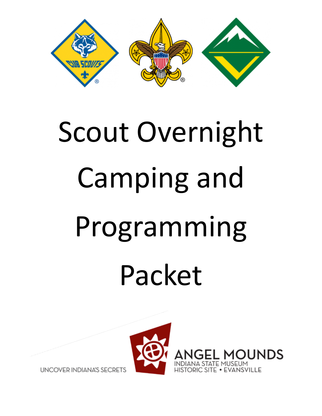

# Scout Overnight Camping and Programming Packet



**UNCOVER INDIANA'S SECRETS**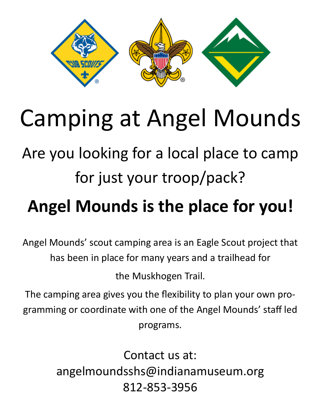

# Camping at Angel Mounds

## Are you looking for a local place to camp for just your troop/pack?

# **Angel Mounds is the place for you!**

Angel Mounds' scout camping area is an Eagle Scout project that has been in place for many years and a trailhead for

the Muskhogen Trail.

The camping area gives you the flexibility to plan your own programming or coordinate with one of the Angel Mounds' staff led programs.

> Contact us at: angelmoundsshs@indianamuseum.org 812-853-3956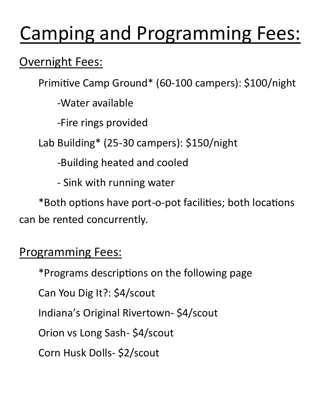# Camping and Programming Fees:

#### Overnight Fees:

Primitive Camp Ground\* (60-100 campers): \$100/night

-Water available

-Fire rings provided

Lab Building\* (25-30 campers): \$150/night

-Building heated and cooled

- Sink with running water

\*Both options have port-o-pot facilities; both locations can be rented concurrently.

#### Programming Fees:

\*Programs descriptions on the following page

Can You Dig It?: \$4/scout

Indiana's Original Rivertown- \$4/scout

Orion vs Long Sash- \$4/scout

Corn Husk Dolls- \$2/scout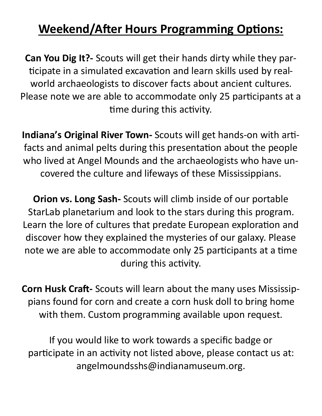#### **Weekend/After Hours Programming Options:**

**Can You Dig It?-** Scouts will get their hands dirty while they participate in a simulated excavation and learn skills used by realworld archaeologists to discover facts about ancient cultures. Please note we are able to accommodate only 25 participants at a time during this activity.

**Indiana's Original River Town-** Scouts will get hands-on with artifacts and animal pelts during this presentation about the people who lived at Angel Mounds and the archaeologists who have uncovered the culture and lifeways of these Mississippians.

**Orion vs. Long Sash-** Scouts will climb inside of our portable StarLab planetarium and look to the stars during this program. Learn the lore of cultures that predate European exploration and discover how they explained the mysteries of our galaxy. Please note we are able to accommodate only 25 participants at a time during this activity.

**Corn Husk Craft-** Scouts will learn about the many uses Mississippians found for corn and create a corn husk doll to bring home with them. Custom programming available upon request.

If you would like to work towards a specific badge or participate in an activity not listed above, please contact us at: angelmoundsshs@indianamuseum.org.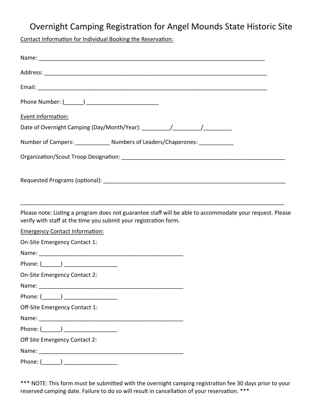#### Overnight Camping Registration for Angel Mounds State Historic Site

Contact Information for Individual Booking the Reservation:

| Event Information:                                                                                                                                                           |  |
|------------------------------------------------------------------------------------------------------------------------------------------------------------------------------|--|
|                                                                                                                                                                              |  |
| Number of Campers: _______________ Numbers of Leaders/Chaperones: ______________                                                                                             |  |
|                                                                                                                                                                              |  |
|                                                                                                                                                                              |  |
|                                                                                                                                                                              |  |
|                                                                                                                                                                              |  |
| Please note: Listing a program does not guarantee staff will be able to accommodate your request. Please<br>verify with staff at the time you submit your registration form. |  |
| <b>Emergency Contact Information:</b>                                                                                                                                        |  |
| On-Site Emergency Contact 1:                                                                                                                                                 |  |
|                                                                                                                                                                              |  |
| Phone: (_______) ______________________                                                                                                                                      |  |
| On-Site Emergency Contact 2:                                                                                                                                                 |  |
| Name:                                                                                                                                                                        |  |
| Phone: $(\_\_)$ ___________________                                                                                                                                          |  |
| Off-Site Emergency Contact 1:                                                                                                                                                |  |
|                                                                                                                                                                              |  |
|                                                                                                                                                                              |  |
| Off Site Emergency Contact 2:                                                                                                                                                |  |
|                                                                                                                                                                              |  |
| Phone: (______) ___________________                                                                                                                                          |  |

\*\*\* NOTE: This form must be submitted with the overnight camping registration fee 30 days prior to your reserved camping date. Failure to do so will result in cancellation of your reservation. \*\*\*